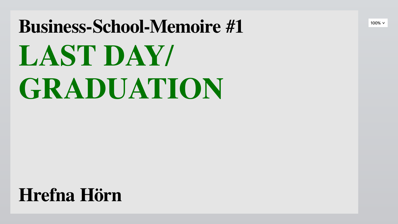# **Business-School-Memoire #1 LAST DAY/ GRADUATION**

### **Hrefna Hörn**



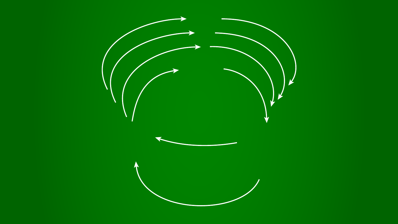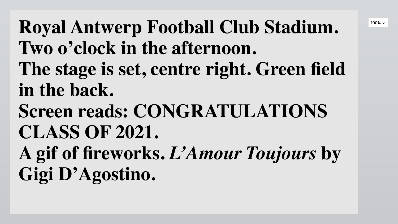### **Royal Antwerp Football Club Stadium. Two o'clock in the afternoon. The stage is set, centre right. Green field in the back. Screen reads: CONGRATULATIONS CLASS OF 2021. A gif of fireworks.** *L'Amour Toujours* **by Gigi D'Agostino.**

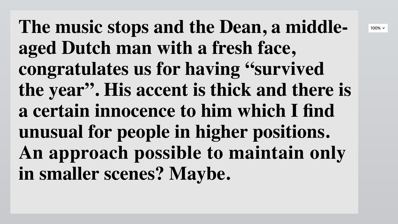**The music stops and the Dean, a middleaged Dutch man with a fresh face, congratulates us for having "survived the year". His accent is thick and there is a certain innocence to him which I find unusual for people in higher positions. An approach possible to maintain only in smaller scenes? Maybe.** 

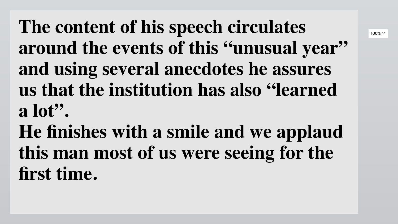**The content of his speech circulates around the events of this "unusual year" and using several anecdotes he assures us that the institution has also "learned a lot". He finishes with a smile and we applaud this man most of us were seeing for the first time.** 

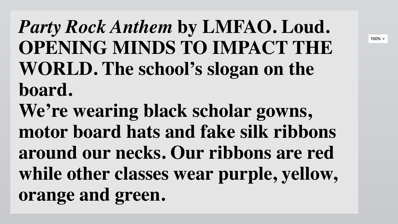### *Party Rock Anthem* **by LMFAO. Loud. OPENING MINDS TO IMPACT THE WORLD. The school's slogan on the board. We're wearing black scholar gowns, motor board hats and fake silk ribbons around our necks. Our ribbons are red while other classes wear purple, yellow, orange and green.**

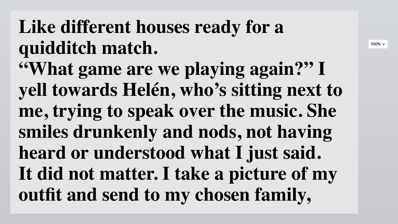**Like different houses ready for a quidditch match. "What game are we playing again?" I yell towards Helén, who's sitting next to me, trying to speak over the music. She smiles drunkenly and nods, not having heard or understood what I just said. It did not matter. I take a picture of my outfit and send to my chosen family,** 

> 100%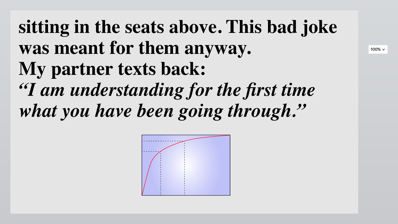### **sitting in the seats above. This bad joke was meant for them anyway. My partner texts back:**  *"I am understanding for the first time what you have been going through."*



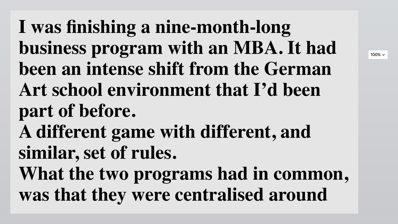**I was finishing a nine-month-long business program with an MBA. It had been an intense shift from the German Art school environment that I'd been part of before. A different game with different, and similar, set of rules. What the two programs had in common, was that they were centralised around** 

> 100%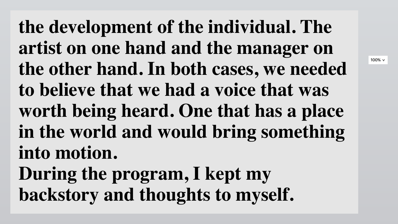**the development of the individual. The artist on one hand and the manager on the other hand. In both cases, we needed to believe that we had a voice that was worth being heard. One that has a place in the world and would bring something into motion. During the program, I kept my backstory and thoughts to myself.** 

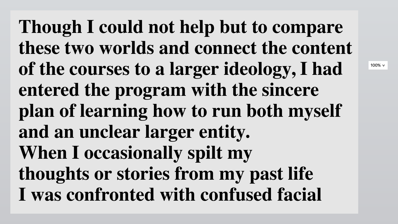**Though I could not help but to compare these two worlds and connect the content of the courses to a larger ideology, I had entered the program with the sincere plan of learning how to run both myself and an unclear larger entity. When I occasionally spilt my thoughts or stories from my past life I was confronted with confused facial** 

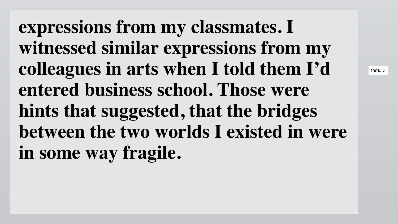### **expressions from my classmates. I witnessed similar expressions from my colleagues in arts when I told them I'd entered business school. Those were hints that suggested, that the bridges between the two worlds I existed in were in some way fragile.**

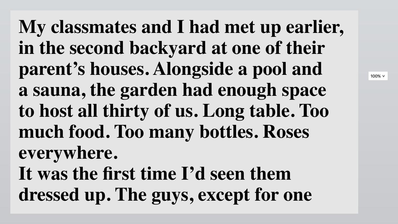**My classmates and I had met up earlier, in the second backyard at one of their parent's houses. Alongside a pool and a sauna, the garden had enough space to host all thirty of us. Long table. Too much food. Too many bottles. Roses everywhere. It was the first time I'd seen them dressed up. The guys, except for one** 

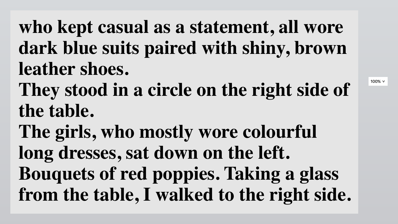### **who kept casual as a statement, all wore dark blue suits paired with shiny, brown leather shoes. They stood in a circle on the right side of the table. The girls, who mostly wore colourful long dresses, sat down on the left. Bouquets of red poppies. Taking a glass from the table, I walked to the right side.**

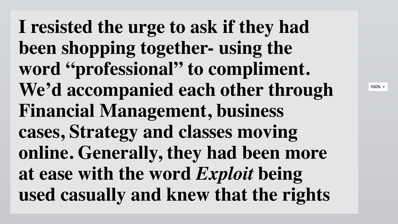**I resisted the urge to ask if they had been shopping together- using the word "professional" to compliment. We'd accompanied each other through Financial Management, business cases, Strategy and classes moving online. Generally, they had been more at ease with the word** *Exploit* **being used casually and knew that the rights** 

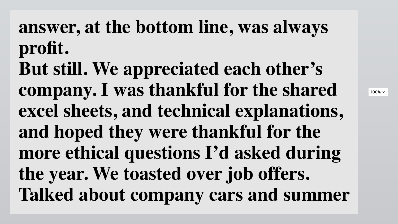**answer, at the bottom line, was always profit. But still. We appreciated each other's company. I was thankful for the shared excel sheets, and technical explanations, and hoped they were thankful for the more ethical questions I'd asked during the year. We toasted over job offers. Talked about company cars and summer** 

> 100%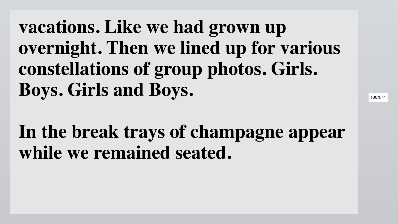### **vacations. Like we had grown up overnight. Then we lined up for various constellations of group photos. Girls. Boys. Girls and Boys.**

**In the break trays of champagne appear while we remained seated.** 

> 100%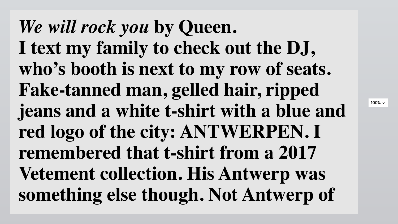*We will rock you* **by Queen. I text my family to check out the DJ, who's booth is next to my row of seats. Fake-tanned man, gelled hair, ripped jeans and a white t-shirt with a blue and red logo of the city: ANTWERPEN. I remembered that t-shirt from a 2017 Vetement collection. His Antwerp was something else though. Not Antwerp of** 

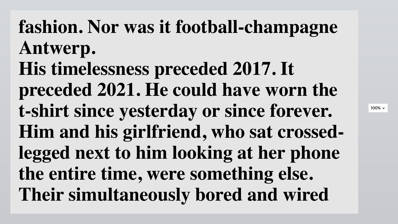### **fashion. Nor was it football-champagne Antwerp. His timelessness preceded 2017. It preceded 2021. He could have worn the t-shirt since yesterday or since forever. Him and his girlfriend, who sat crossedlegged next to him looking at her phone the entire time, were something else. Their simultaneously bored and wired**

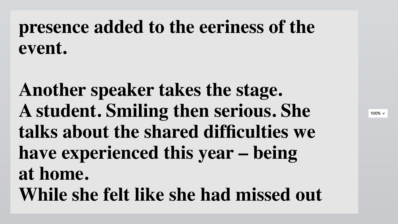### **presence added to the eeriness of the event.**

### **Another speaker takes the stage. A student. Smiling then serious. She talks about the shared difficulties we have experienced this year – being at home. While she felt like she had missed out**

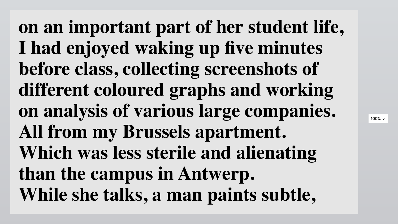**on an important part of her student life, I had enjoyed waking up five minutes before class, collecting screenshots of different coloured graphs and working on analysis of various large companies. All from my Brussels apartment. Which was less sterile and alienating than the campus in Antwerp. While she talks, a man paints subtle,** 

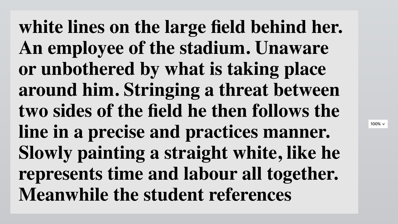**white lines on the large field behind her. An employee of the stadium. Unaware or unbothered by what is taking place around him. Stringing a threat between two sides of the field he then follows the line in a precise and practices manner. Slowly painting a straight white, like he represents time and labour all together. Meanwhile the student references** 

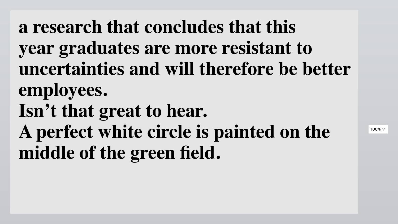### **a research that concludes that this year graduates are more resistant to uncertainties and will therefore be better employees. Isn't that great to hear. A perfect white circle is painted on the middle of the green field.**

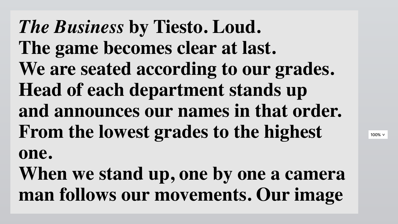### *The Business* **by Tiesto. Loud. The game becomes clear at last. We are seated according to our grades. Head of each department stands up and announces our names in that order. From the lowest grades to the highest one. When we stand up, one by one a camera man follows our movements. Our image**

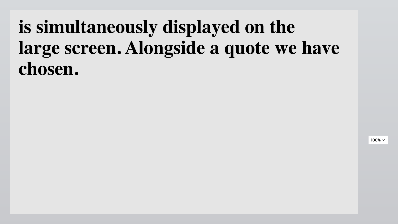### **is simultaneously displayed on the large screen. Alongside a quote we have chosen.**

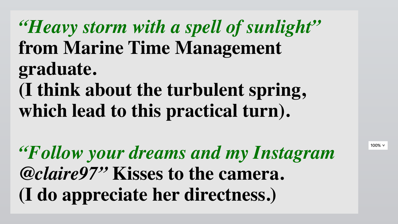### *"Heavy storm with a spell of sunlight"* **from Marine Time Management graduate. (I think about the turbulent spring, which lead to this practical turn).**

*"Follow your dreams and my Instagram @claire97"* **Kisses to the camera. (I do appreciate her directness.)**

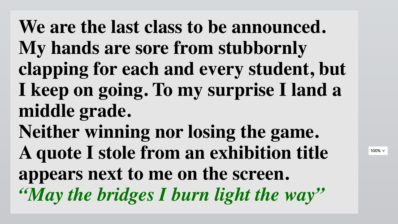### **We are the last class to be announced. My hands are sore from stubbornly clapping for each and every student, but I keep on going. To my surprise I land a middle grade. Neither winning nor losing the game. A quote I stole from an exhibition title appears next to me on the screen.** *"May the bridges I burn light the way"*

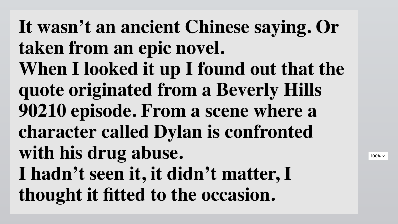**It wasn't an ancient Chinese saying. Or taken from an epic novel. When I looked it up I found out that the quote originated from a Beverly Hills 90210 episode. From a scene where a character called Dylan is confronted with his drug abuse. I hadn't seen it, it didn't matter, I thought it fitted to the occasion.** 

- 
- 
- 

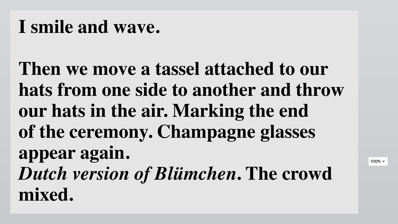### **I smile and wave.**

**Then we move a tassel attached to our hats from one side to another and throw our hats in the air. Marking the end of the ceremony. Champagne glasses appear again.**  *Dutch version of Blümchen***. The crowd mixed.** 

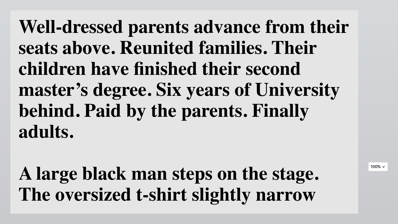### **Well-dressed parents advance from their seats above. Reunited families. Their children have finished their second master's degree. Six years of University behind. Paid by the parents. Finally adults.**

### **A large black man steps on the stage. The oversized t-shirt slightly narrow**

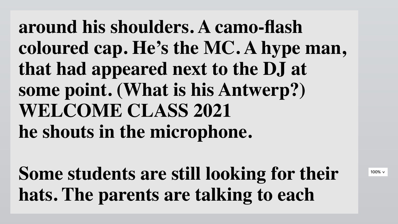### **around his shoulders. A camo-flash coloured cap. He's the MC. A hype man, that had appeared next to the DJ at some point. (What is his Antwerp?) WELCOME CLASS 2021 he shouts in the microphone.**

**Some students are still looking for their hats. The parents are talking to each** 

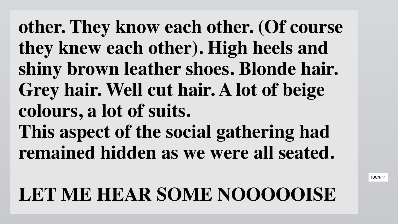### **other. They know each other. (Of course they knew each other). High heels and shiny brown leather shoes. Blonde hair. Grey hair. Well cut hair. A lot of beige colours, a lot of suits. This aspect of the social gathering had remained hidden as we were all seated.**

## **LET ME HEAR SOME NOOOOOISE**

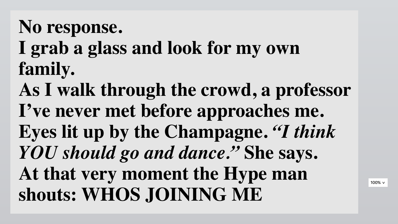### **No response. I grab a glass and look for my own family. As I walk through the crowd, a professor I've never met before approaches me. Eyes lit up by the Champagne.** *"I think YOU should go and dance."* **She says. At that very moment the Hype man shouts: WHOS JOINING ME**

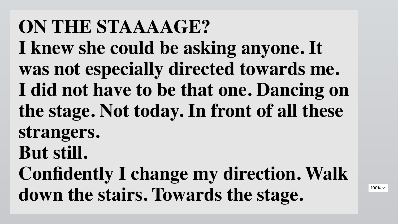**ON THE STAAAAGE? I knew she could be asking anyone. It was not especially directed towards me. I did not have to be that one. Dancing on the stage. Not today. In front of all these strangers. But still. Confidently I change my direction. Walk**  down the stairs. Towards the stage.

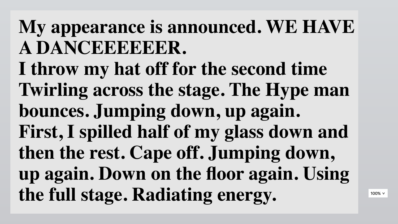**My appearance is announced. WE HAVE A DANCEEEEEER. I throw my hat off for the second time Twirling across the stage. The Hype man bounces. Jumping down, up again. First, I spilled half of my glass down and then the rest. Cape off. Jumping down, up again. Down on the floor again. Using the full stage. Radiating energy.** <sup>&</sup>gt;

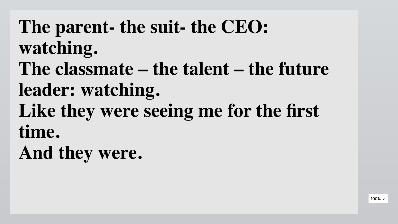### **The parent- the suit- the CEO: watching. The classmate – the talent – the future leader: watching. Like they were seeing me for the first time. And they were.**

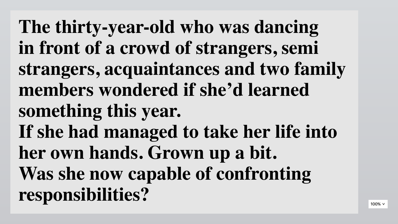**The thirty-year-old who was dancing in front of a crowd of strangers, semi strangers, acquaintances and two family members wondered if she'd learned something this year. If she had managed to take her life into her own hands. Grown up a bit. Was she now capable of confronting responsibilities?** >

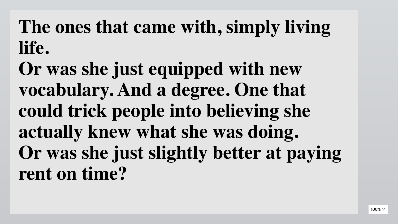### **The ones that came with, simply living life.**

**Or was she just equipped with new vocabulary. And a degree. One that could trick people into believing she actually knew what she was doing. Or was she just slightly better at paying rent on time?**

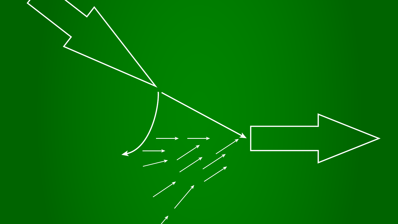